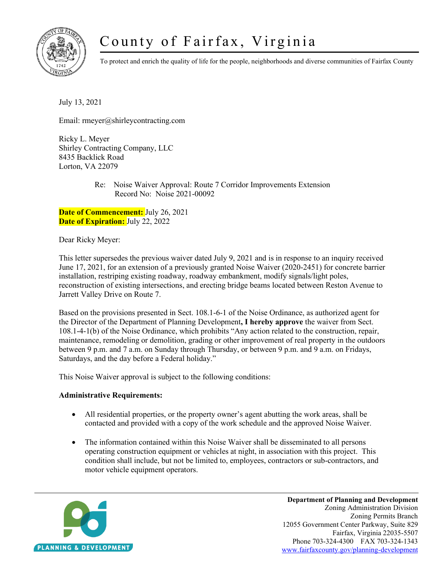# County of Fairfax, Virginia



To protect and enrich the quality of life for the people, neighborhoods and diverse communities of Fairfax County

July 13, 2021

Email: rmeyer@shirleycontracting.com

Ricky L. Meyer Shirley Contracting Company, LLC 8435 Backlick Road Lorton, VA 22079

> Re: Noise Waiver Approval: Route 7 Corridor Improvements Extension Record No: Noise 2021-00092

**Date of Commencement:** July 26, 2021 **Date of Expiration:** July 22, 2022

Dear Ricky Meyer:

This letter supersedes the previous waiver dated July 9, 2021 and is in response to an inquiry received June 17, 2021, for an extension of a previously granted Noise Waiver (2020-2451) for concrete barrier installation, restriping existing roadway, roadway embankment, modify signals/light poles, reconstruction of existing intersections, and erecting bridge beams located between Reston Avenue to Jarrett Valley Drive on Route 7.

Based on the provisions presented in Sect. 108.1-6-1 of the Noise Ordinance, as authorized agent for the Director of the Department of Planning Development**, I hereby approve** the waiver from Sect. 108.1-4-1(b) of the Noise Ordinance, which prohibits "Any action related to the construction, repair, maintenance, remodeling or demolition, grading or other improvement of real property in the outdoors between 9 p.m. and 7 a.m. on Sunday through Thursday, or between 9 p.m. and 9 a.m. on Fridays, Saturdays, and the day before a Federal holiday."

This Noise Waiver approval is subject to the following conditions:

## **Administrative Requirements:**

- All residential properties, or the property owner's agent abutting the work areas, shall be contacted and provided with a copy of the work schedule and the approved Noise Waiver.
- The information contained within this Noise Waiver shall be disseminated to all persons operating construction equipment or vehicles at night, in association with this project. This condition shall include, but not be limited to, employees, contractors or sub-contractors, and motor vehicle equipment operators.



**Department of Planning and Development** Zoning Administration Division Zoning Permits Branch 12055 Government Center Parkway, Suite 829 Fairfax, Virginia 22035-5507 Phone 703-324-4300 FAX 703-324-1343 [www.fairfaxcounty.gov/planning-development](http://www.fairfaxcounty.gov/planning-development)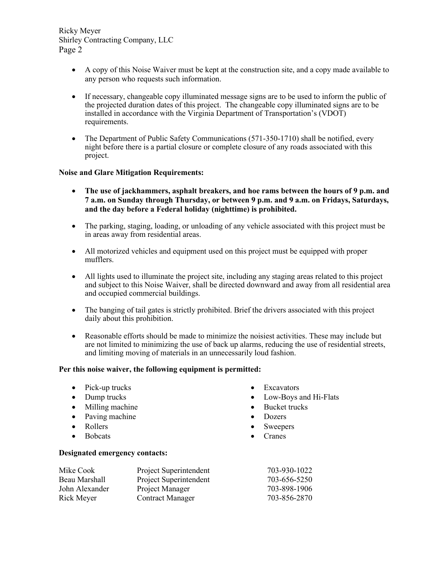Ricky Meyer Shirley Contracting Company, LLC Page 2

- A copy of this Noise Waiver must be kept at the construction site, and a copy made available to any person who requests such information.
- If necessary, changeable copy illuminated message signs are to be used to inform the public of the projected duration dates of this project. The changeable copy illuminated signs are to be installed in accordance with the Virginia Department of Transportation's (VDOT) requirements.
- The Department of Public Safety Communications (571-350-1710) shall be notified, every night before there is a partial closure or complete closure of any roads associated with this project.

### **Noise and Glare Mitigation Requirements:**

- **The use of jackhammers, asphalt breakers, and hoe rams between the hours of 9 p.m. and 7 a.m. on Sunday through Thursday, or between 9 p.m. and 9 a.m. on Fridays, Saturdays, and the day before a Federal holiday (nighttime) is prohibited.**
- The parking, staging, loading, or unloading of any vehicle associated with this project must be in areas away from residential areas.
- All motorized vehicles and equipment used on this project must be equipped with proper mufflers.
- All lights used to illuminate the project site, including any staging areas related to this project and subject to this Noise Waiver, shall be directed downward and away from all residential area and occupied commercial buildings.
- The banging of tail gates is strictly prohibited. Brief the drivers associated with this project daily about this prohibition.
- Reasonable efforts should be made to minimize the noisiest activities. These may include but are not limited to minimizing the use of back up alarms, reducing the use of residential streets, and limiting moving of materials in an unnecessarily loud fashion.

### **Per this noise waiver, the following equipment is permitted:**

- Pick-up trucks
- Dump trucks
- Milling machine
- Paving machine
- Rollers
- Bobcats

#### **Designated emergency contacts:**

Mike Cook Project Superintendent 703-930-1022 Beau Marshall Project Superintendent 703-656-5250 John Alexander Project Manager 703-898-1906 Rick Meyer Contract Manager 703-856-2870

- Excavators
- Low-Boys and Hi-Flats
- Bucket trucks
- Dozers
- **Sweepers**
- Cranes